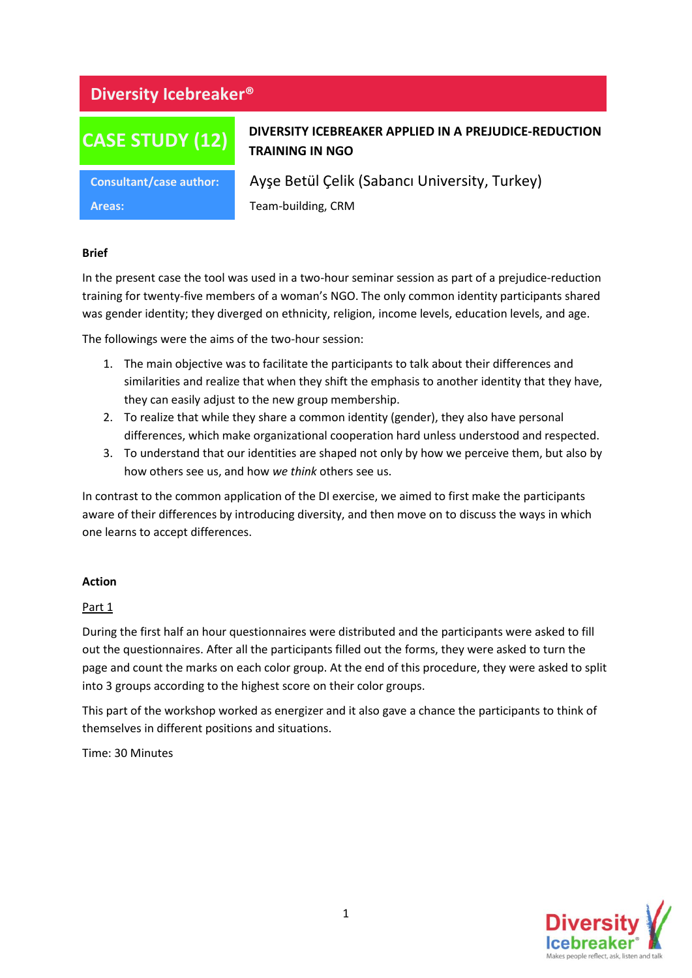# **Diversity Icebreaker®**

# **CASE STUDY (12)**

## **DIVERSITY ICEBREAKER APPLIED IN A PREJUDICE-REDUCTION TRAINING IN NGO**

**Areas:** Team-building, CRM

**Consultant/case author:** Ayşe Betül Çelik (Sabancı University, Turkey)

#### **Brief**

In the present case the tool was used in a two-hour seminar session as part of a prejudice-reduction training for twenty-five members of a woman's NGO. The only common identity participants shared was gender identity; they diverged on ethnicity, religion, income levels, education levels, and age.

The followings were the aims of the two-hour session:

- 1. The main objective was to facilitate the participants to talk about their differences and similarities and realize that when they shift the emphasis to another identity that they have, they can easily adjust to the new group membership.
- 2. To realize that while they share a common identity (gender), they also have personal differences, which make organizational cooperation hard unless understood and respected.
- 3. To understand that our identities are shaped not only by how we perceive them, but also by how others see us, and how *we think* others see us.

In contrast to the common application of the DI exercise, we aimed to first make the participants aware of their differences by introducing diversity, and then move on to discuss the ways in which one learns to accept differences.

#### **Action**

#### Part 1

During the first half an hour questionnaires were distributed and the participants were asked to fill out the questionnaires. After all the participants filled out the forms, they were asked to turn the page and count the marks on each color group. At the end of this procedure, they were asked to split into 3 groups according to the highest score on their color groups.

This part of the workshop worked as energizer and it also gave a chance the participants to think of themselves in different positions and situations.

Time: 30 Minutes

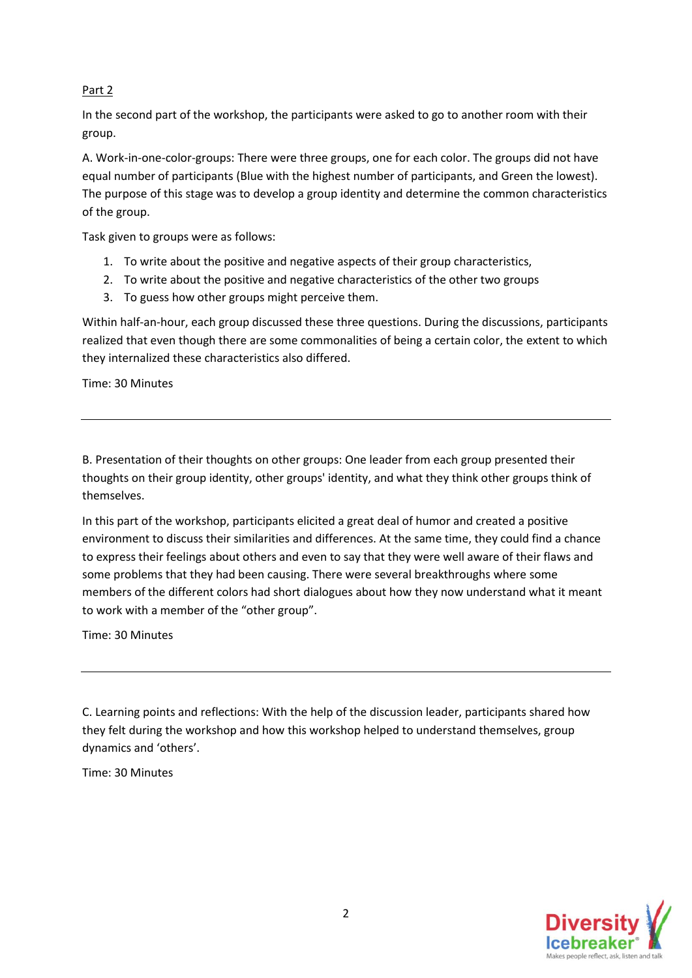### Part 2

In the second part of the workshop, the participants were asked to go to another room with their group.

A. Work-in-one-color-groups: There were three groups, one for each color. The groups did not have equal number of participants (Blue with the highest number of participants, and Green the lowest). The purpose of this stage was to develop a group identity and determine the common characteristics of the group.

Task given to groups were as follows:

- 1. To write about the positive and negative aspects of their group characteristics,
- 2. To write about the positive and negative characteristics of the other two groups
- 3. To guess how other groups might perceive them.

Within half-an-hour, each group discussed these three questions. During the discussions, participants realized that even though there are some commonalities of being a certain color, the extent to which they internalized these characteristics also differed.

Time: 30 Minutes

B. Presentation of their thoughts on other groups: One leader from each group presented their thoughts on their group identity, other groups' identity, and what they think other groups think of themselves.

In this part of the workshop, participants elicited a great deal of humor and created a positive environment to discuss their similarities and differences. At the same time, they could find a chance to express their feelings about others and even to say that they were well aware of their flaws and some problems that they had been causing. There were several breakthroughs where some members of the different colors had short dialogues about how they now understand what it meant to work with a member of the "other group".

Time: 30 Minutes

C. Learning points and reflections: With the help of the discussion leader, participants shared how they felt during the workshop and how this workshop helped to understand themselves, group dynamics and 'others'.

Time: 30 Minutes